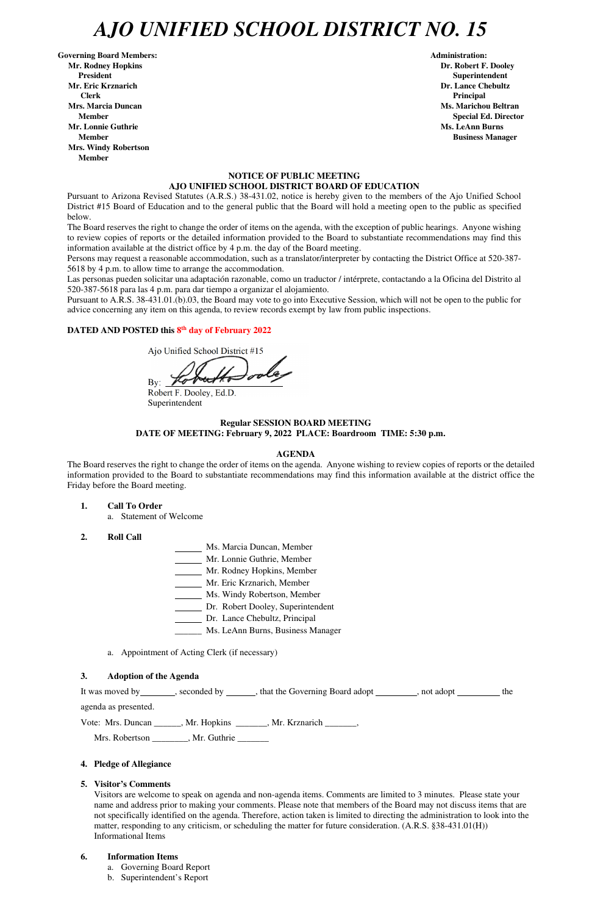# *AJO UNIFIED SCHOOL DISTRICT NO. 15*

Governing Board Members: **Administration: Administration: Administration: Mr. Rodney Hopkins Dr. Robert F. Dooley President Superintendent in the set of the set of the set of the set of the Superintendent Superintendent Mr. Eric Krznarich Dr. Lance Chebultz Clerk Principal Mrs. Marcia Duncan Ms. Marichou Beltran Ms. Marichou Beltran Mr. Lonnie Guthrie Ms. LeAnn Burns in the United States of the Ms. LeAnn Burns in the Ms. LeAnn Burns in the Ms. LeAnn Burns in the Ms. LeAnn Burns in the Ms. LeAnn Burns in the Ms. LeAnn Burns in the Ms. LeAnn Burns in Member Business Manager 3 and 2009 Member 3 and 3 and 3 and 3 and 3 and 3 and 3 and 3 and 3 and 3 and 3 and 3 and 3 and 3 and 3 and 3 and 3 and 3 and 3 and 3 and 3 and 3 and 3 and 3 and 3 and 3 and 3 and 3 and 3 and 3 and Mrs. Windy Robertson Member** 

 **Member** Special Ed. Director **Special Ed. Director** 

# **NOTICE OF PUBLIC MEETING AJO UNIFIED SCHOOL DISTRICT BOARD OF EDUCATION**

Pursuant to Arizona Revised Statutes (A.R.S.) 38-431.02, notice is hereby given to the members of the Ajo Unified School District #15 Board of Education and to the general public that the Board will hold a meeting open to the public as specified below.

The Board reserves the right to change the order of items on the agenda, with the exception of public hearings. Anyone wishing to review copies of reports or the detailed information provided to the Board to substantiate recommendations may find this information available at the district office by 4 p.m. the day of the Board meeting.

Persons may request a reasonable accommodation, such as a translator/interpreter by contacting the District Office at 520-387- 5618 by 4 p.m. to allow time to arrange the accommodation.

Las personas pueden solicitar una adaptación razonable, como un traductor / intérprete, contactando a la Oficina del Distrito al 520-387-5618 para las 4 p.m. para dar tiempo a organizar el alojamiento.

It was moved by seconded by , that the Governing Board adopt , not adopt , not and  $\frac{1}{\sqrt{1-\frac{1}{n}}}\$ , the agenda as presented.

Pursuant to A.R.S. 38-431.01.(b).03, the Board may vote to go into Executive Session, which will not be open to the public for advice concerning any item on this agenda, to review records exempt by law from public inspections.

### **DATED AND POSTED this 8 th day of February 2022**

Ajo Unified School District #15

By:

Robert F. Dooley, Ed.D. Superintendent

# **Regular SESSION BOARD MEETING DATE OF MEETING: February 9, 2022 PLACE: Boardroom TIME: 5:30 p.m.**

#### **AGENDA**

The Board reserves the right to change the order of items on the agenda. Anyone wishing to review copies of reports or the detailed information provided to the Board to substantiate recommendations may find this information available at the district office the Friday before the Board meeting.

- **1. Call To Order** 
	- a. Statement of Welcome
- **2. Roll Call**
- Ms. Marcia Duncan, Member
- Mr. Lonnie Guthrie, Member
- Mr. Rodney Hopkins, Member
- Mr. Eric Krznarich, Member
- Ms. Windy Robertson, Member
- Dr. Robert Dooley, Superintendent
- Dr. Lance Chebultz, Principal
- \_\_\_\_\_\_ Ms. LeAnn Burns, Business Manager
- a. Appointment of Acting Clerk (if necessary)

#### **3. Adoption of the Agenda**

Vote: Mrs. Duncan \_\_\_\_\_\_, Mr. Hopkins \_\_\_\_\_\_\_, Mr. Krznarich \_\_\_\_\_\_\_,

Mrs. Robertson \_\_\_\_\_\_\_\_, Mr. Guthrie \_\_\_\_\_\_\_

### **4. Pledge of Allegiance**

#### **5. Visitor's Comments**

Visitors are welcome to speak on agenda and non-agenda items. Comments are limited to 3 minutes. Please state your name and address prior to making your comments. Please note that members of the Board may not discuss items that are not specifically identified on the agenda. Therefore, action taken is limited to directing the administration to look into the matter, responding to any criticism, or scheduling the matter for future consideration. (A.R.S. §38-431.01(H)) Informational Items

#### **6. Information Items**

- a. Governing Board Report
- b. Superintendent's Report